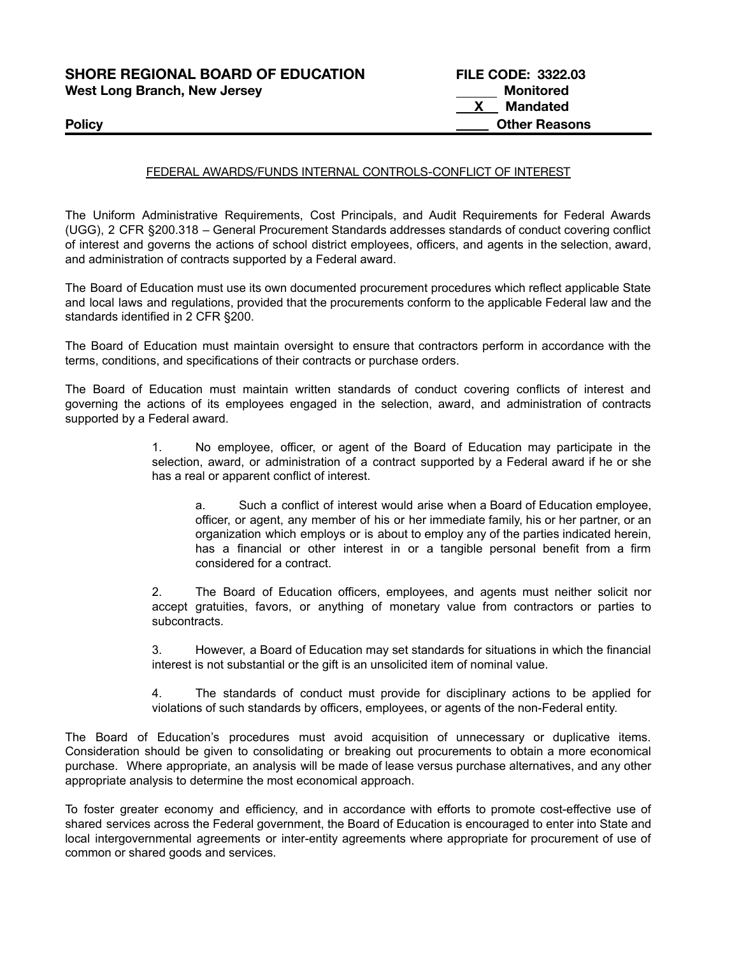| <b>SHORE REGIONAL BOARD OF EDUCATION</b> | <b>FILE CODE: 3322.03</b> |
|------------------------------------------|---------------------------|
| <b>West Long Branch, New Jersey</b>      | Monitored                 |
|                                          | Mandated                  |
| <b>Policy</b>                            | <b>Other Reasons</b>      |

## FEDERAL AWARDS/FUNDS INTERNAL CONTROLS-CONFLICT OF INTEREST

The Uniform Administrative Requirements, Cost Principals, and Audit Requirements for Federal Awards (UGG), 2 CFR §200.318 – General Procurement Standards addresses standards of conduct covering conflict of interest and governs the actions of school district employees, officers, and agents in the selection, award, and administration of contracts supported by a Federal award.

The Board of Education must use its own documented procurement procedures which reflect applicable State and local laws and regulations, provided that the procurements conform to the applicable Federal law and the standards identified in 2 CFR §200.

The Board of Education must maintain oversight to ensure that contractors perform in accordance with the terms, conditions, and specifications of their contracts or purchase orders.

The Board of Education must maintain written standards of conduct covering conflicts of interest and governing the actions of its employees engaged in the selection, award, and administration of contracts supported by a Federal award.

> 1. No employee, officer, or agent of the Board of Education may participate in the selection, award, or administration of a contract supported by a Federal award if he or she has a real or apparent conflict of interest.

a. Such a conflict of interest would arise when a Board of Education employee, officer, or agent, any member of his or her immediate family, his or her partner, or an organization which employs or is about to employ any of the parties indicated herein, has a financial or other interest in or a tangible personal benefit from a firm considered for a contract.

2. The Board of Education officers, employees, and agents must neither solicit nor accept gratuities, favors, or anything of monetary value from contractors or parties to subcontracts.

3. However, a Board of Education may set standards for situations in which the financial interest is not substantial or the gift is an unsolicited item of nominal value.

4. The standards of conduct must provide for disciplinary actions to be applied for violations of such standards by officers, employees, or agents of the non-Federal entity.

The Board of Education's procedures must avoid acquisition of unnecessary or duplicative items. Consideration should be given to consolidating or breaking out procurements to obtain a more economical purchase. Where appropriate, an analysis will be made of lease versus purchase alternatives, and any other appropriate analysis to determine the most economical approach.

To foster greater economy and efficiency, and in accordance with efforts to promote cost-effective use of shared services across the Federal government, the Board of Education is encouraged to enter into State and local intergovernmental agreements or inter-entity agreements where appropriate for procurement of use of common or shared goods and services.